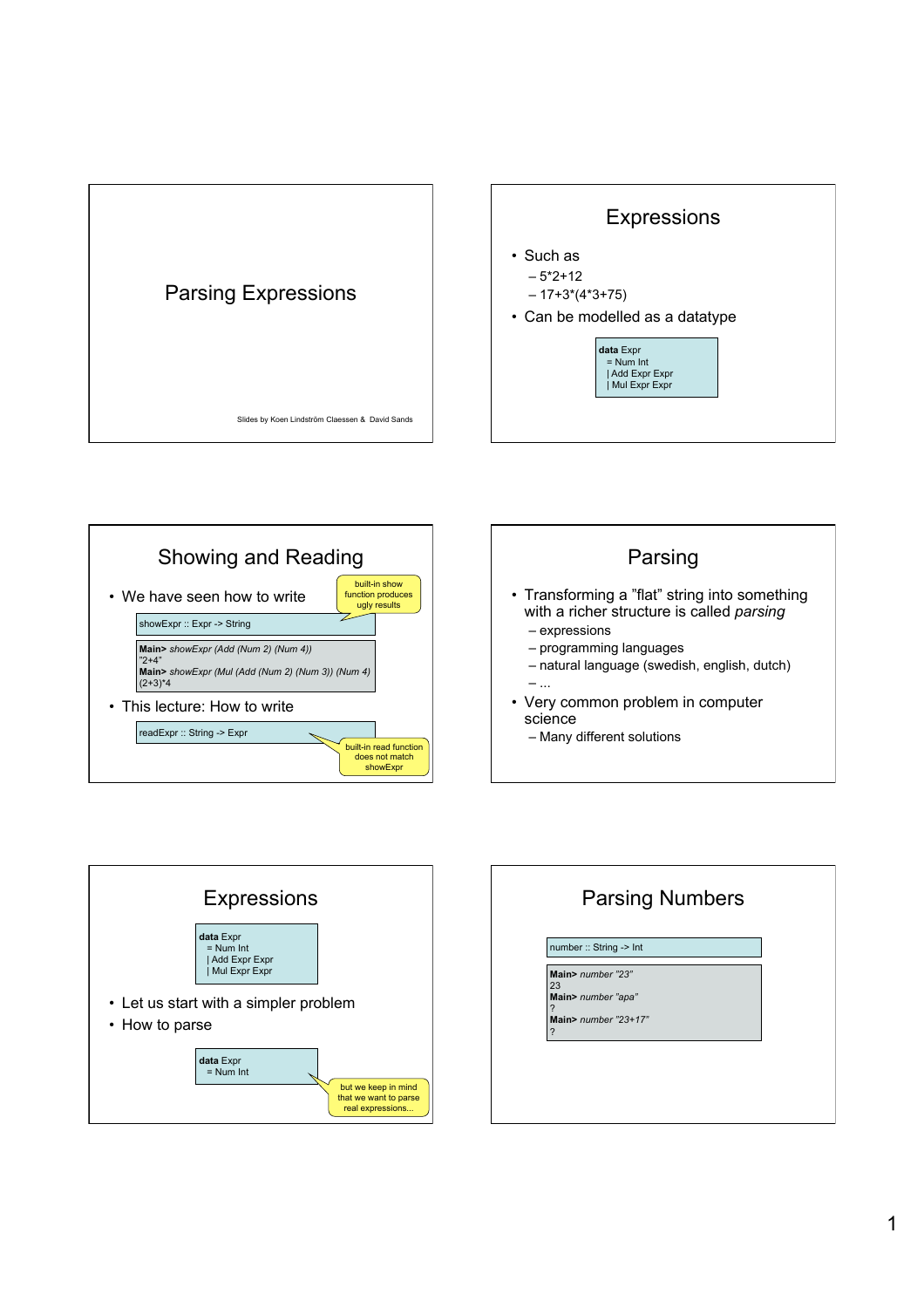









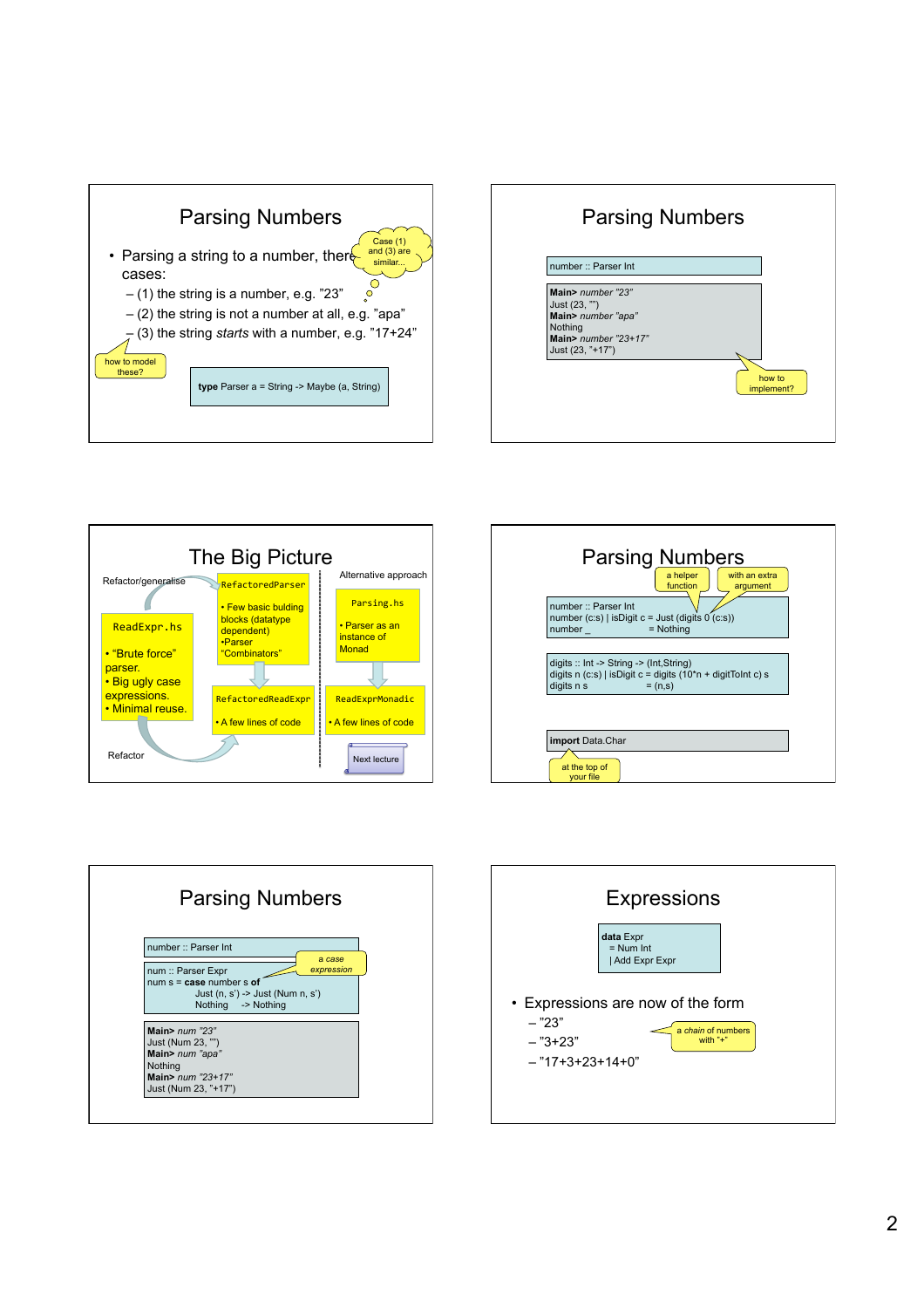









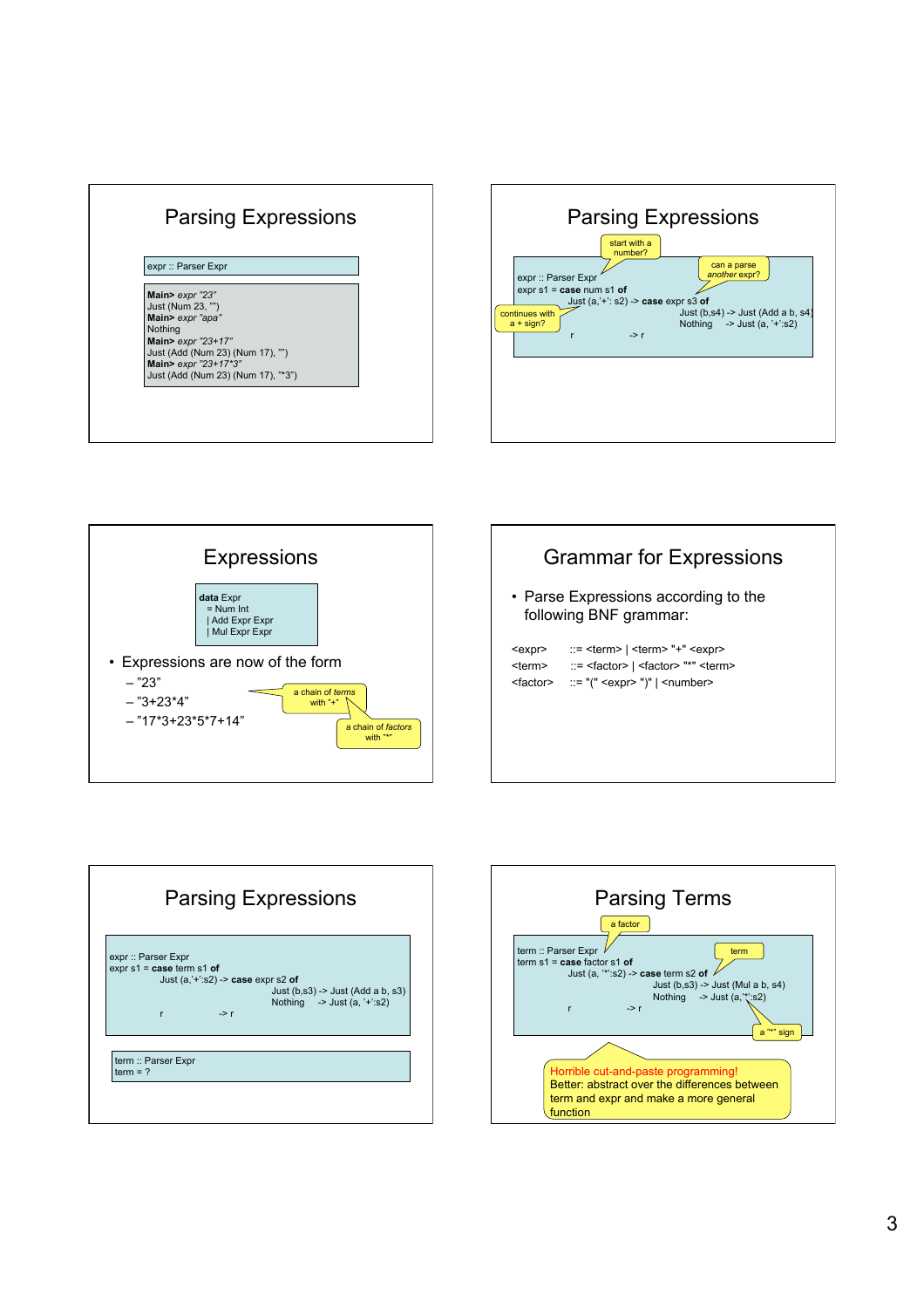









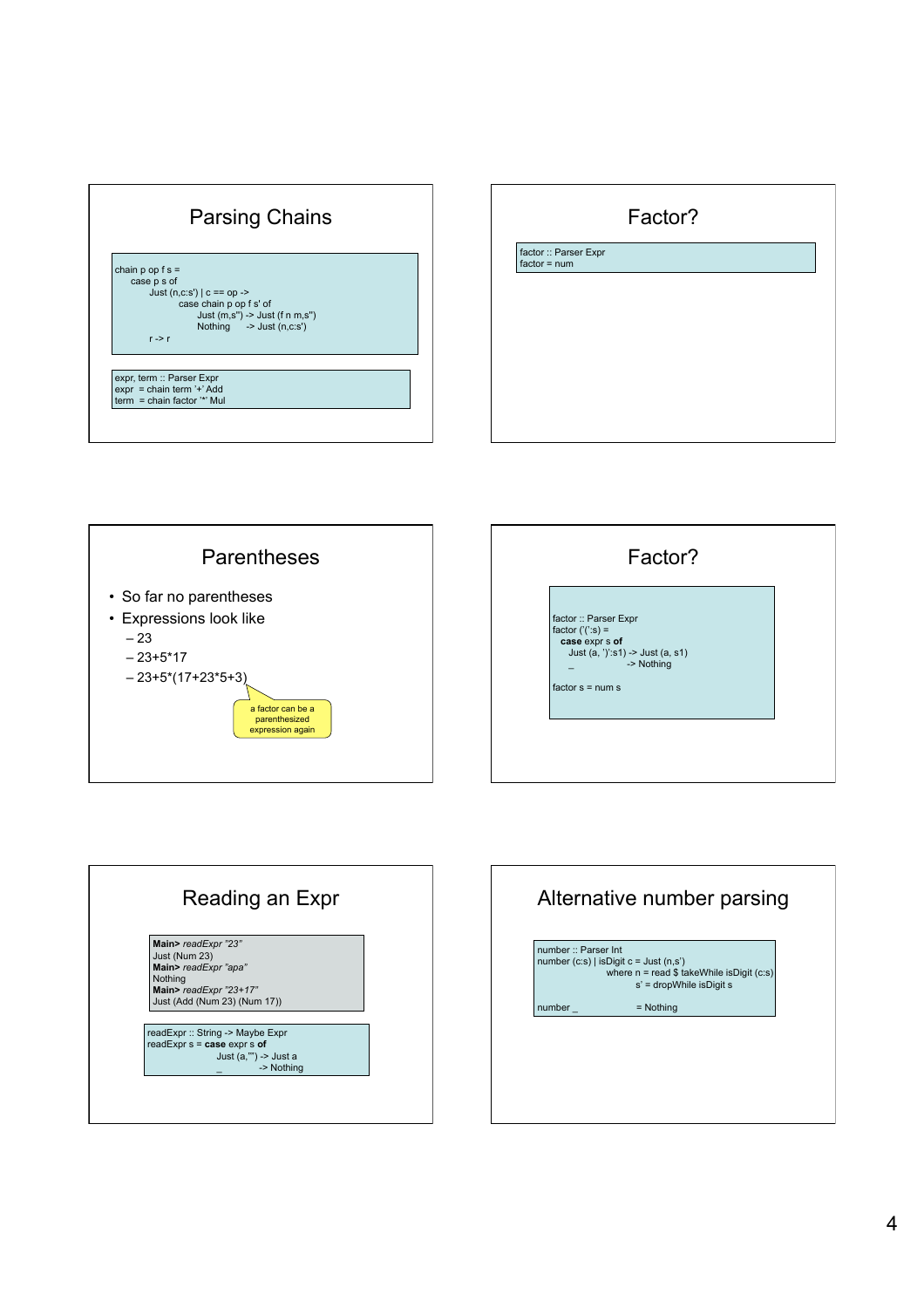









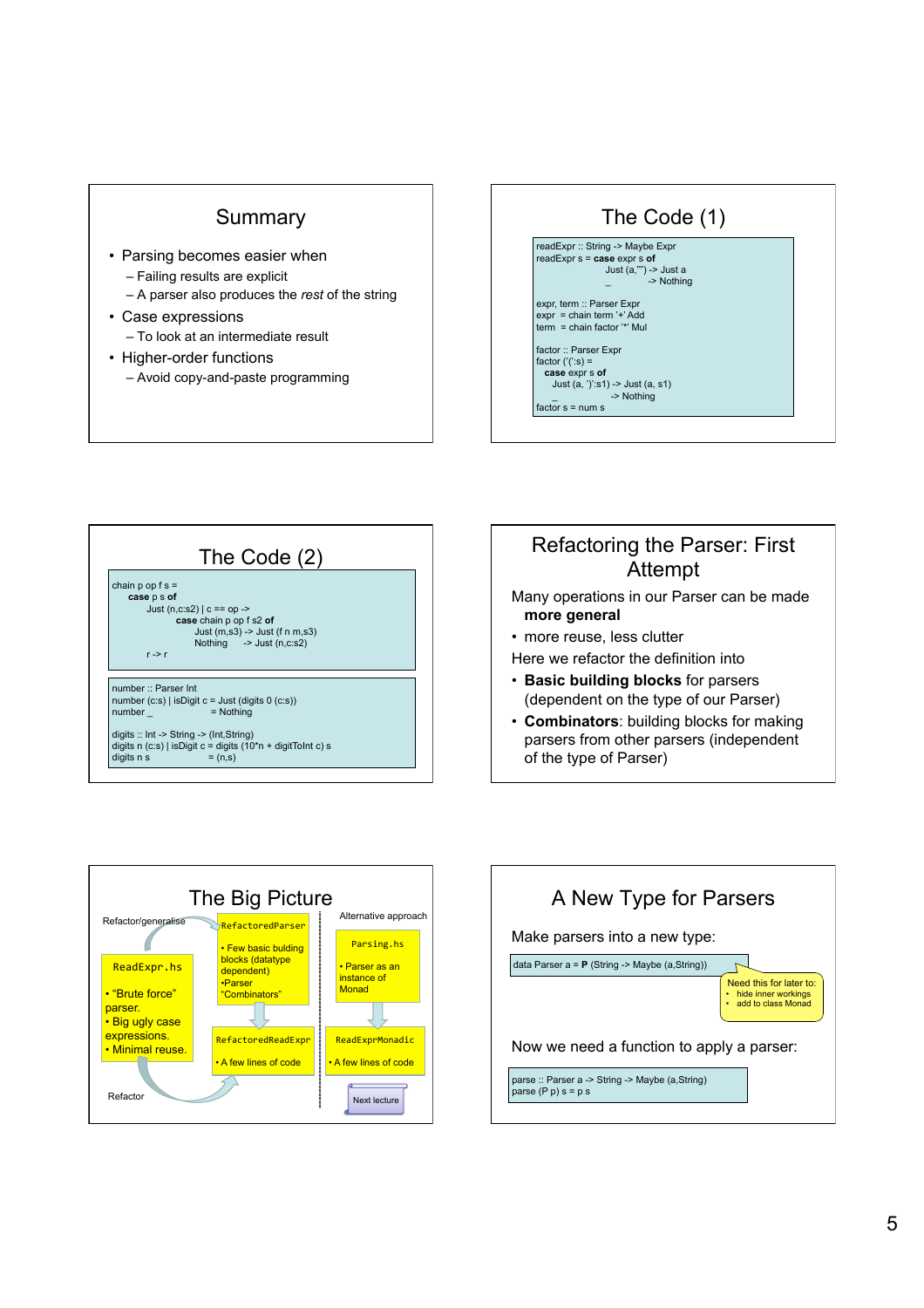## Summary

- Parsing becomes easier when
	- Failing results are explicit
	- A parser also produces the *rest* of the string
- Case expressions
	- To look at an intermediate result
- Higher-order functions
	- Avoid copy-and-paste programming





## Refactoring the Parser: First Attempt

- Many operations in our Parser can be made **more general**
- more reuse, less clutter
- Here we refactor the definition into
- **Basic building blocks** for parsers (dependent on the type of our Parser)
- **Combinators**: building blocks for making parsers from other parsers (independent of the type of Parser)



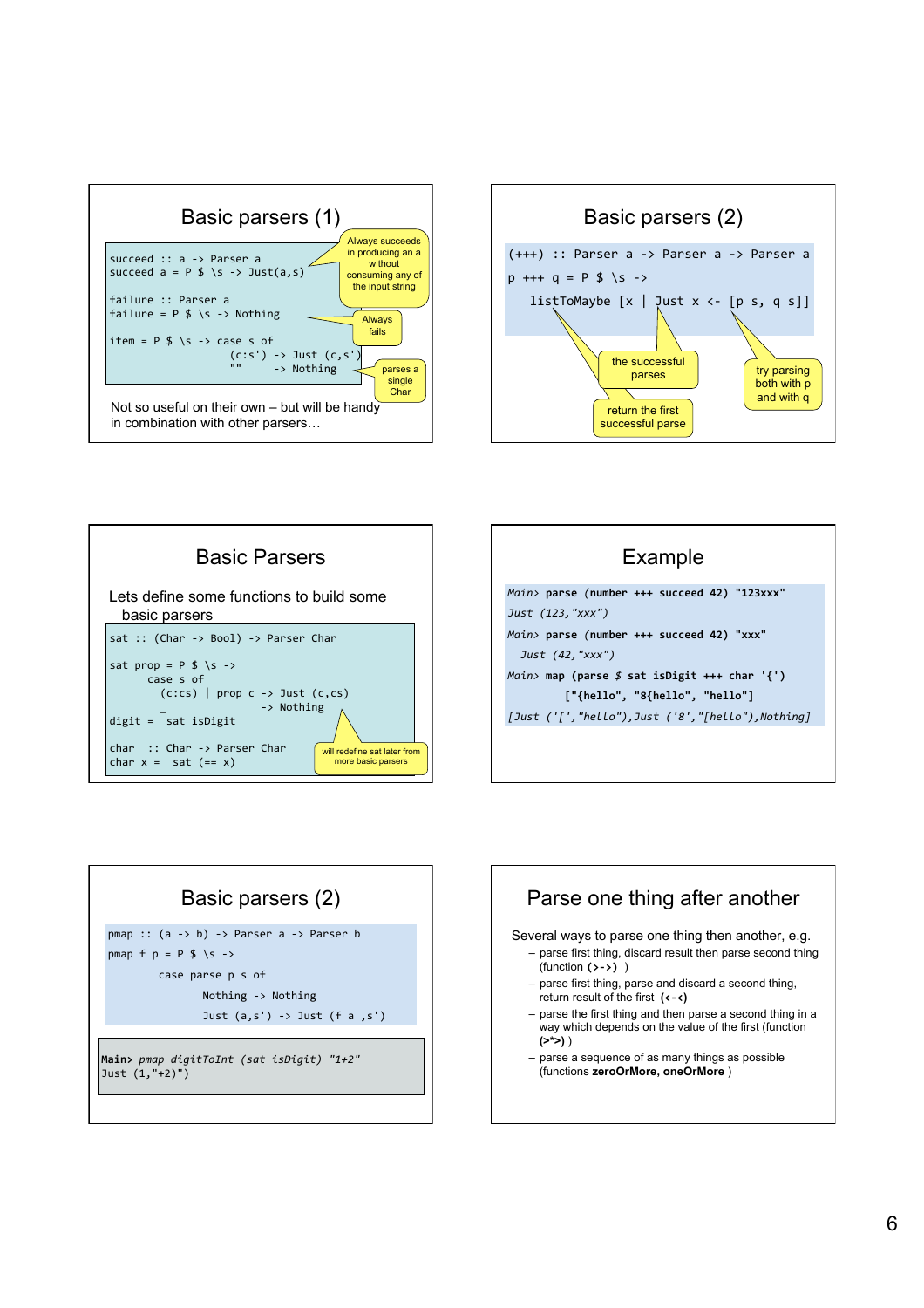









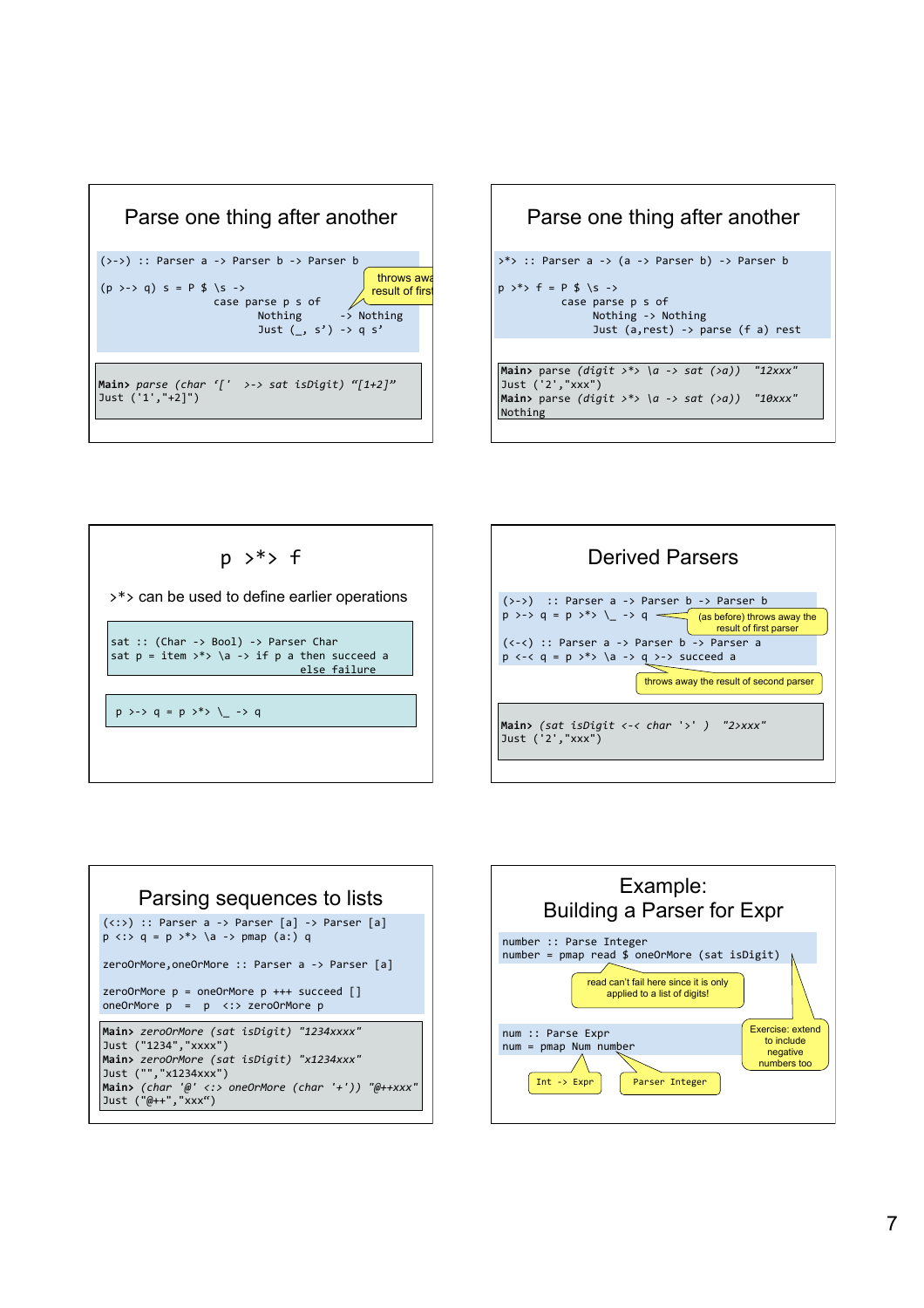